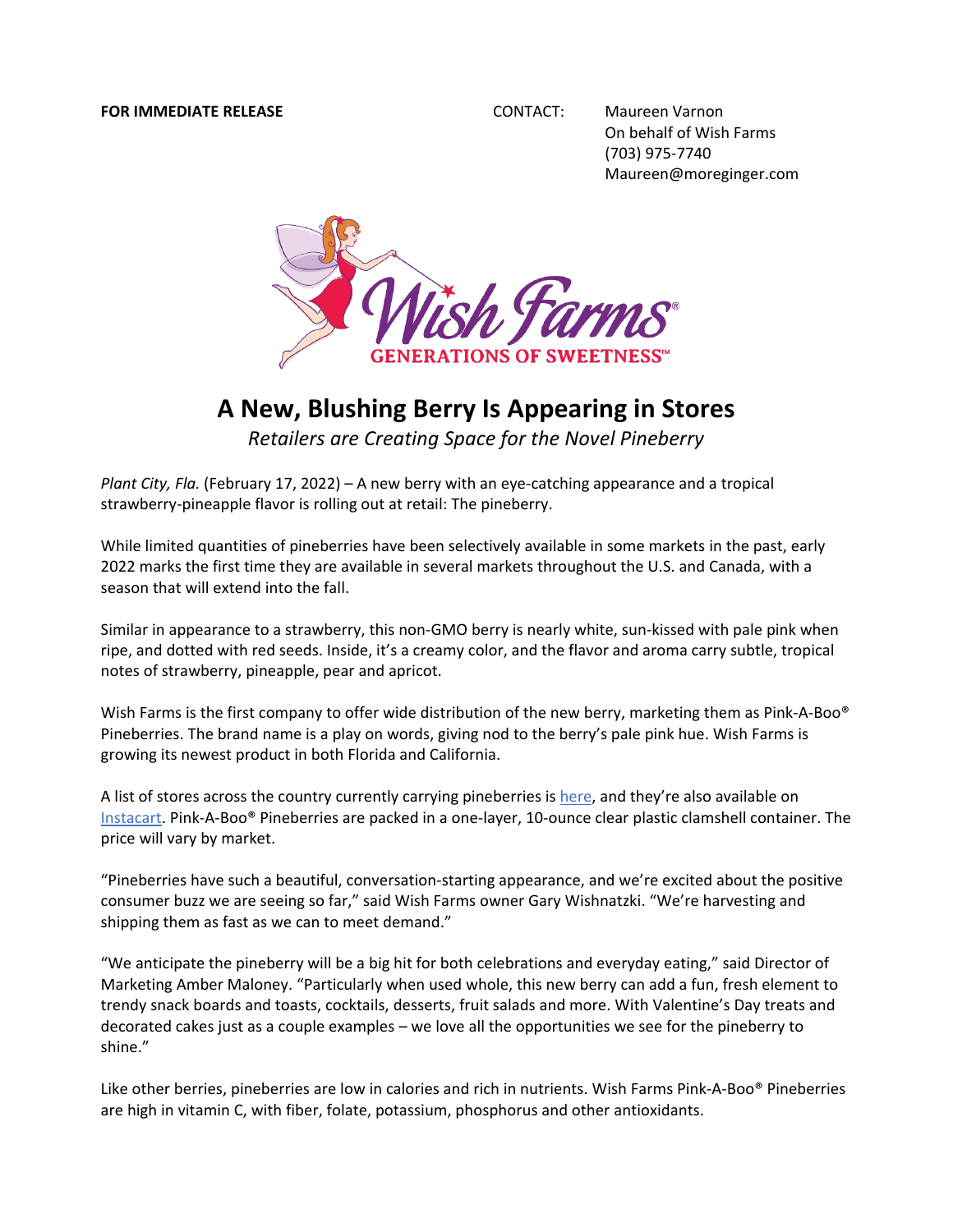## **FOR IMMEDIATE RELEASE** THE STATE CONTACT: Maureen Varnon

On behalf of Wish Farms (703) 975-7740 Maureen@moreginger.com



## **A New, Blushing Berry Is Appearing in Stores**

*Retailers are Creating Space for the Novel Pineberry*

*Plant City, Fla.* (February 17, 2022) – A new berry with an eye-catching appearance and a tropical strawberry-pineapple flavor is rolling out at retail: The pineberry.

While limited quantities of pineberries have been selectively available in some markets in the past, early 2022 marks the first time they are available in several markets throughout the U.S. and Canada, with a season that will extend into the fall.

Similar in appearance to a strawberry, this non-GMO berry is nearly white, sun-kissed with pale pink when ripe, and dotted with red seeds. Inside, it's a creamy color, and the flavor and aroma carry subtle, tropical notes of strawberry, pineapple, pear and apricot.

Wish Farms is the first company to offer wide distribution of the new berry, marketing them as Pink-A-Boo® Pineberries. The brand name is a play on words, giving nod to the berry's pale pink hue. Wish Farms is growing its newest product in both Florida and California.

A list of stores across the country currently carrying pineberries is [here](https://wishfarms.com/pinkaboo-pineberries/where-to-buy-pineberries/), and they're also available on [Instacart.](https://www.instacart.com/products/25833295-wish-farms-pink-a-boo-pineberries-10-0-oz) Pink-A-Boo® Pineberries are packed in a one-layer, 10-ounce clear plastic clamshell container. The price will vary by market.

"Pineberries have such a beautiful, conversation-starting appearance, and we're excited about the positive consumer buzz we are seeing so far," said Wish Farms owner Gary Wishnatzki. "We're harvesting and shipping them as fast as we can to meet demand."

"We anticipate the pineberry will be a big hit for both celebrations and everyday eating," said Director of Marketing Amber Maloney. "Particularly when used whole, this new berry can add a fun, fresh element to trendy snack boards and toasts, cocktails, desserts, fruit salads and more. With Valentine's Day treats and decorated cakes just as a couple examples – we love all the opportunities we see for the pineberry to shine."

Like other berries, pineberries are low in calories and rich in nutrients. Wish Farms Pink-A-Boo® Pineberries are high in vitamin C, with fiber, folate, potassium, phosphorus and other antioxidants.